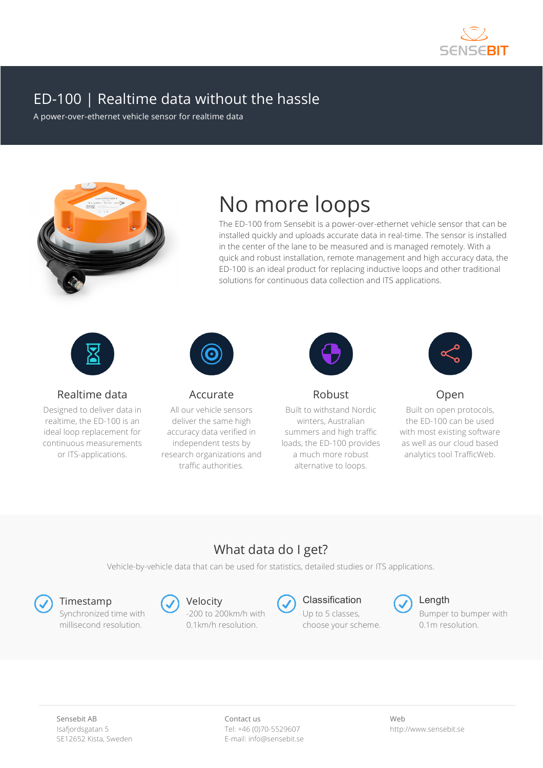

## ED-100 | Realtime data without the hassle

A power-over-ethernet vehicle sensor for realtime data



# No more loops

The ED-100 from Sensebit is a power-over-ethernet vehicle sensor that can be installed quickly and uploads accurate data in real-time. The sensor is installed in the center of the lane to be measured and is managed remotely. With a quick and robust installation, remote management and high accuracy data, the ED-100 is an ideal product for replacing inductive loops and other traditional solutions for continuous data collection and ITS applications.



Realtime data

Designed to deliver data in realtime, the ED-100 is an ideal loop replacement for continuous measurements or ITS-applications.



Accurate

All our vehicle sensors deliver the same high accuracy data verified in independent tests by research organizations and traffic authorities.



Robust

alternative to loops.

Built to withstand Nordic winters, Australian summers and high traffic loads, the ED-100 provides a much more robust



Open

Built on open protocols, the ED-100 can be used with most existing software as well as our cloud based analytics tool TrafficWeb.

## What data do I get?

Vehicle-by-vehicle data that can be used for statistics, detailed studies or ITS applications.

Synchronized time with millisecond resolution.



-200 to 200km/h with 0.1km/h resolution.



Timestamp Contention Content Content Content Content Content Content Content Content Content Content Content Content Content Content Content Content Content Content Content Content Content Content Content Content Content C Up to 5 classes, choose your scheme.





Bumper to bumper with 0.1m resolution.

Contact us Tel: +46 (0)70-5529607 E-mail: info@sensebit.se